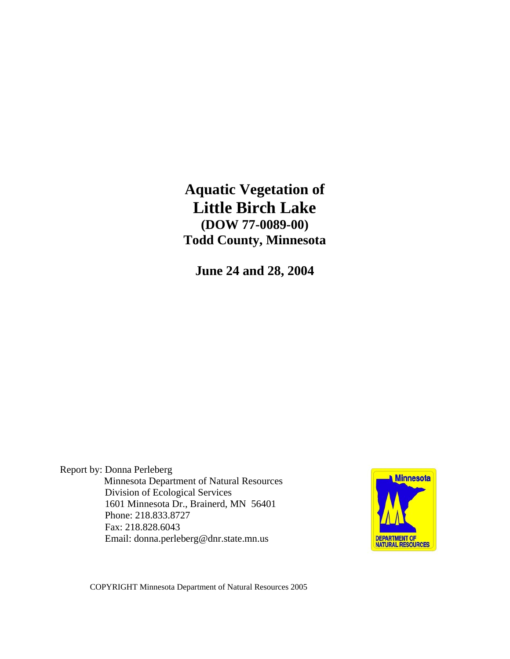**Aquatic Vegetation of Little Birch Lake (DOW 77-0089-00) Todd County, Minnesota** 

**June 24 and 28, 2004** 

Report by: Donna Perleberg Minnesota Department of Natural Resources Division of Ecological Services 1601 Minnesota Dr., Brainerd, MN 56401 Phone: 218.833.8727 Fax: 218.828.6043 Email: donna.perleberg@dnr.state.mn.us



COPYRIGHT Minnesota Department of Natural Resources 2005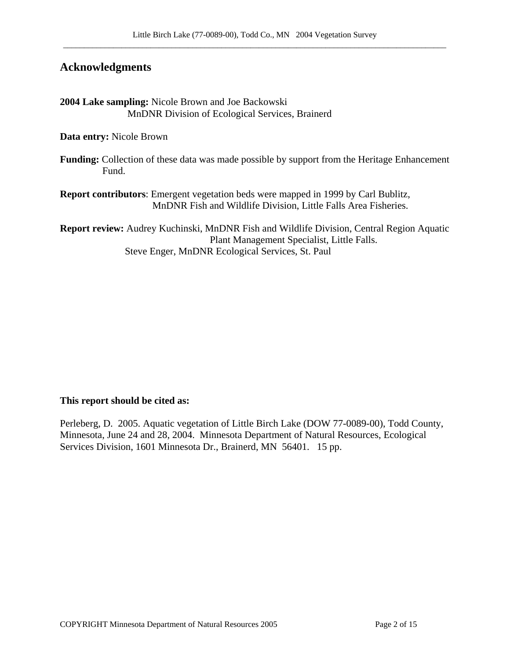## **Acknowledgments**

**2004 Lake sampling:** Nicole Brown and Joe Backowski MnDNR Division of Ecological Services, Brainerd

**Data entry:** Nicole Brown

**Funding:** Collection of these data was made possible by support from the Heritage Enhancement Fund.

**Report contributors**: Emergent vegetation beds were mapped in 1999 by Carl Bublitz, MnDNR Fish and Wildlife Division, Little Falls Area Fisheries.

**Report review:** Audrey Kuchinski, MnDNR Fish and Wildlife Division, Central Region Aquatic Plant Management Specialist, Little Falls. Steve Enger, MnDNR Ecological Services, St. Paul

#### **This report should be cited as:**

Perleberg, D. 2005. Aquatic vegetation of Little Birch Lake (DOW 77-0089-00), Todd County, Minnesota, June 24 and 28, 2004. Minnesota Department of Natural Resources, Ecological Services Division, 1601 Minnesota Dr., Brainerd, MN 56401. 15 pp.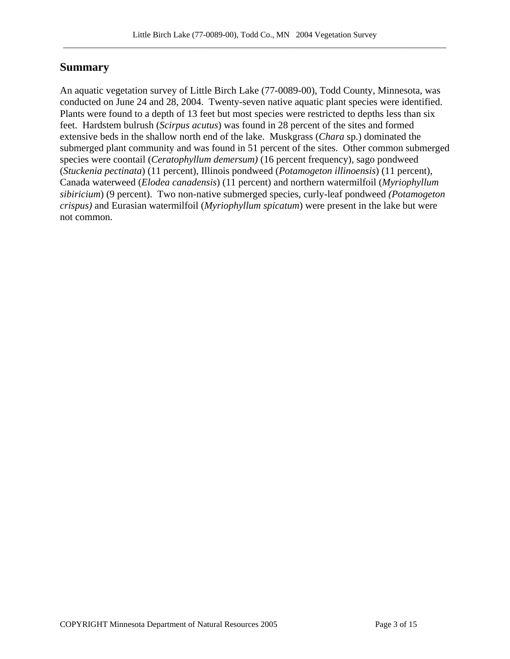# **Summary**

An aquatic vegetation survey of Little Birch Lake (77-0089-00), Todd County, Minnesota, was conducted on June 24 and 28, 2004. Twenty-seven native aquatic plant species were identified. Plants were found to a depth of 13 feet but most species were restricted to depths less than six feet. Hardstem bulrush (*Scirpus acutus*) was found in 28 percent of the sites and formed extensive beds in the shallow north end of the lake. Muskgrass (*Chara* sp.) dominated the submerged plant community and was found in 51 percent of the sites. Other common submerged species were coontail (*Ceratophyllum demersum)* (16 percent frequency), sago pondweed (*Stuckenia pectinata*) (11 percent), Illinois pondweed (*Potamogeton illinoensis*) (11 percent), Canada waterweed (*Elodea canadensis*) (11 percent) and northern watermilfoil (*Myriophyllum sibiricium*) (9 percent). Two non-native submerged species, curly-leaf pondweed *(Potamogeton crispus)* and Eurasian watermilfoil (*Myriophyllum spicatum*) were present in the lake but were not common.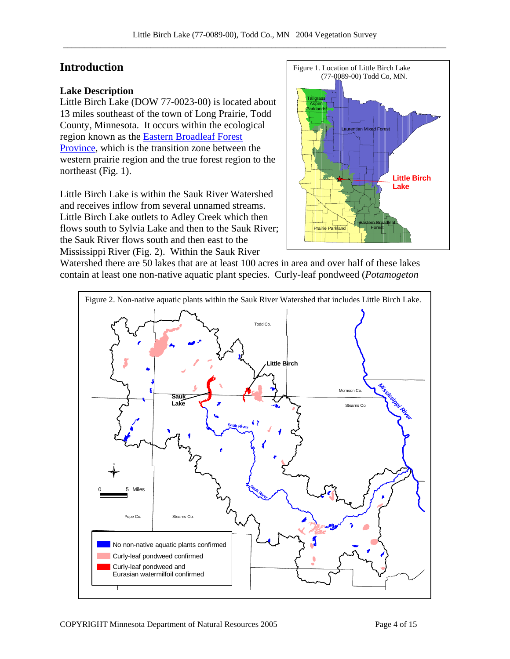## **Introduction**

#### **Lake Description**

Little Birch Lake (DOW 77-0023-00) is located about 13 miles southeast of the town of Long Prairie, Todd County, Minnesota. It occurs within the ecological region known as the [Eastern Broadleaf Forest](http://www.dnr.state.mn.us/ecs/broadleaf/index.html)  [Province,](http://www.dnr.state.mn.us/ecs/broadleaf/index.html) which is the transition zone between the western prairie region and the true forest region to the northeast (Fig. 1).

Little Birch Lake is within the Sauk River Watershed and receives inflow from several unnamed streams. Little Birch Lake outlets to Adley Creek which then flows south to Sylvia Lake and then to the Sauk River; the Sauk River flows south and then east to the Mississippi River (Fig. 2). Within the Sauk River



Watershed there are 50 lakes that are at least 100 acres in area and over half of these lakes contain at least one non-native aquatic plant species. Curly-leaf pondweed (*Potamogeton* 

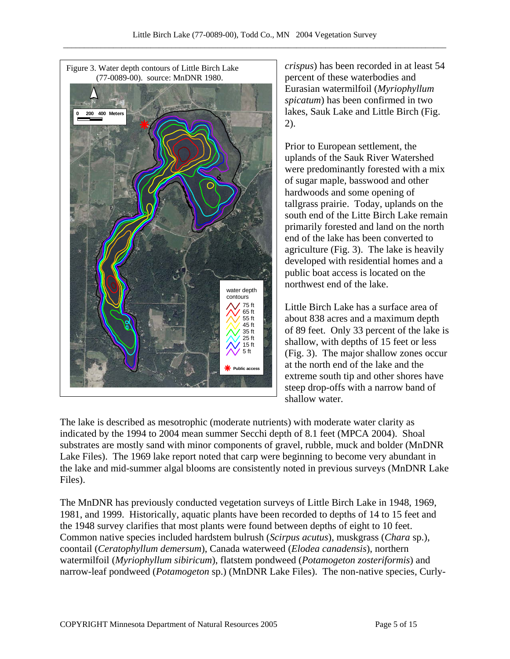

*crispus*) has been recorded in at least 54 percent of these waterbodies and Eurasian watermilfoil (*Myriophyllum spicatum*) has been confirmed in two lakes, Sauk Lake and Little Birch (Fig. 2).

Prior to European settlement, the uplands of the Sauk River Watershed were predominantly forested with a mix of sugar maple, basswood and other hardwoods and some opening of tallgrass prairie. Today, uplands on the south end of the Litte Birch Lake remain primarily forested and land on the north end of the lake has been converted to agriculture (Fig. 3). The lake is heavily developed with residential homes and a public boat access is located on the northwest end of the lake.

Little Birch Lake has a surface area of about 838 acres and a maximum depth of 89 feet. Only 33 percent of the lake is shallow, with depths of 15 feet or less (Fig. 3). The major shallow zones occur at the north end of the lake and the extreme south tip and other shores have steep drop-offs with a narrow band of shallow water.

The lake is described as mesotrophic (moderate nutrients) with moderate water clarity as indicated by the 1994 to 2004 mean summer Secchi depth of 8.1 feet (MPCA 2004). Shoal substrates are mostly sand with minor components of gravel, rubble, muck and bolder (MnDNR Lake Files). The 1969 lake report noted that carp were beginning to become very abundant in the lake and mid-summer algal blooms are consistently noted in previous surveys (MnDNR Lake Files).

The MnDNR has previously conducted vegetation surveys of Little Birch Lake in 1948, 1969, 1981, and 1999. Historically, aquatic plants have been recorded to depths of 14 to 15 feet and the 1948 survey clarifies that most plants were found between depths of eight to 10 feet. Common native species included hardstem bulrush (*Scirpus acutus*), muskgrass (*Chara* sp.), coontail (*Ceratophyllum demersum*), Canada waterweed (*Elodea canadensis*), northern watermilfoil (*Myriophyllum sibiricum*), flatstem pondweed (*Potamogeton zosteriformis*) and narrow-leaf pondweed (*Potamogeton* sp.) (MnDNR Lake Files). The non-native species, Curly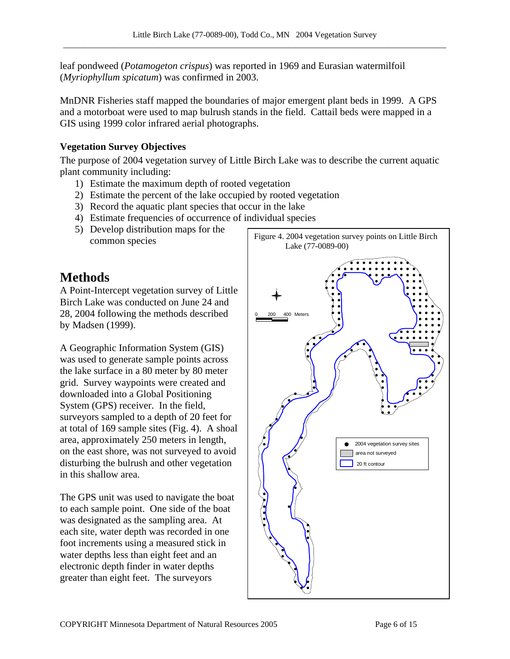leaf pondweed (*Potamogeton crispus*) was reported in 1969 and Eurasian watermilfoil (*Myriophyllum spicatum*) was confirmed in 2003.

MnDNR Fisheries staff mapped the boundaries of major emergent plant beds in 1999. A GPS and a motorboat were used to map bulrush stands in the field. Cattail beds were mapped in a GIS using 1999 color infrared aerial photographs.

## **Vegetation Survey Objectives**

The purpose of 2004 vegetation survey of Little Birch Lake was to describe the current aquatic plant community including:

- 1) Estimate the maximum depth of rooted vegetation
- 2) Estimate the percent of the lake occupied by rooted vegetation
- 3) Record the aquatic plant species that occur in the lake
- 4) Estimate frequencies of occurrence of individual species
- 5) Develop distribution maps for the

# **Methods**

A Point-Intercept vegetation survey of Little Birch Lake was conducted on June 24 and 28, 2004 following the methods described by Madsen (1999).

A Geographic Information System (GIS) was used to generate sample points across the lake surface in a 80 meter by 80 meter grid. Survey waypoints were created and downloaded into a Global Positioning System (GPS) receiver. In the field, surveyors sampled to a depth of 20 feet for at total of 169 sample sites (Fig. 4). A shoal area, approximately 250 meters in length, on the east shore, was not surveyed to avoid disturbing the bulrush and other vegetation in this shallow area.

The GPS unit was used to navigate the boat to each sample point. One side of the boat was designated as the sampling area. At each site, water depth was recorded in one foot increments using a measured stick in water depths less than eight feet and an electronic depth finder in water depths greater than eight feet. The surveyors

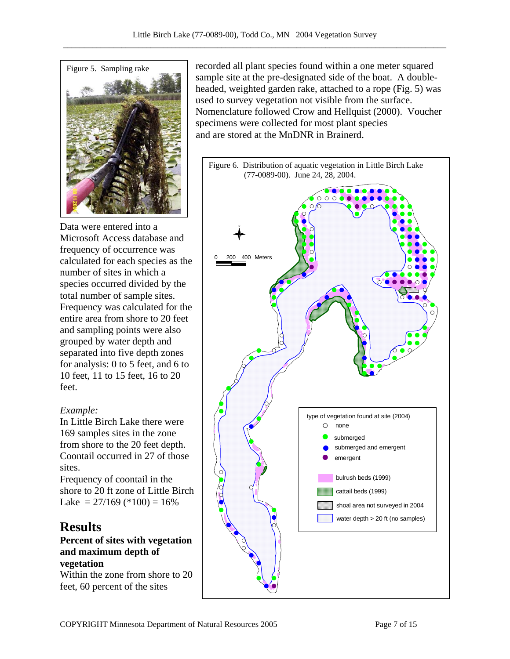

Data were entered into a Microsoft Access database and frequency of occurrence was calculated for each species as the number of sites in which a species occurred divided by the total number of sample sites. Frequency was calculated for the entire area from shore to 20 feet and sampling points were also grouped by water depth and separated into five depth zones for analysis: 0 to 5 feet, and 6 to 10 feet, 11 to 15 feet, 16 to 20 feet.

## *Example:*

In Little Birch Lake there were 169 samples sites in the zone from shore to the 20 feet depth. Coontail occurred in 27 of those sites.

Frequency of coontail in the shore to 20 ft zone of Little Birch Lake =  $27/169$  (\*100) =  $16\%$ 

# **Results**

**Percent of sites with vegetation and maximum depth of vegetation** 

Within the zone from shore to 20 feet, 60 percent of the sites

Figure 5. Sampling rake recorded all plant species found within a one meter squared sample site at the pre-designated side of the boat. A doubleheaded, weighted garden rake, attached to a rope (Fig. 5) was used to survey vegetation not visible from the surface. Nomenclature followed Crow and Hellquist (2000). Voucher specimens were collected for most plant species and are stored at the MnDNR in Brainerd.

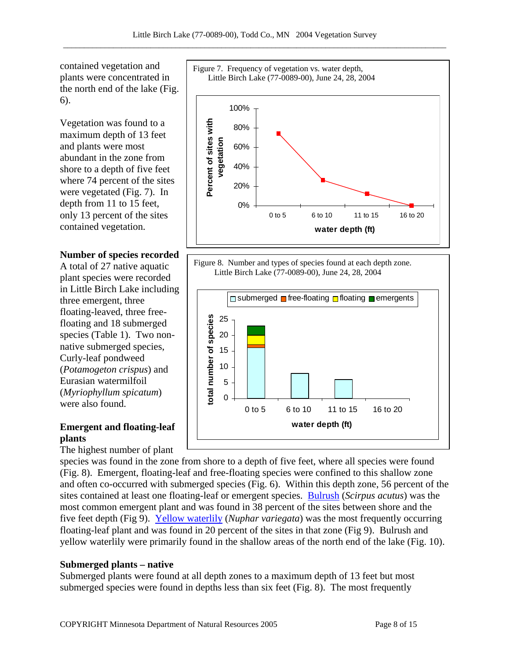0%

20%

40%

contained vegetation and plants were concentrated in the north end of the lake (Fig. 6).

Vegetation was found to a maximum depth of 13 feet and plants were most abundant in the zone from shore to a depth of five feet where 74 percent of the sites were vegetated (Fig. 7). In depth from 11 to 15 feet, only 13 percent of the sites contained vegetation.

#### **Number of species recorded**

A total of 27 native aquatic plant species were recorded in Little Birch Lake including three emergent, three floating-leaved, three freefloating and 18 submerged species (Table 1). Two nonnative submerged species, Curly-leaf pondweed (*Potamogeton crispus*) and Eurasian watermilfoil (*Myriophyllum spicatum*) were also found.

## **Emergent and floating-leaf plants**

The highest number of plant

species was found in the zone from shore to a depth of five feet, where all species were found (Fig. 8). Emergent, floating-leaf and free-floating species were confined to this shallow zone and often co-occurred with submerged species (Fig. 6). Within this depth zone, 56 percent of the sites contained at least one floating-leaf or emergent species. [Bulrush](http://www.dnr.state.mn.us/aquatic_plants/emergent_plants/bulrushes.html) (*Scirpus acutus*) was the most common emergent plant and was found in 38 percent of the sites between shore and the five feet depth (Fig 9). [Yellow waterlily](http://www.dnr.state.mn.us/aquatic_plants/floatingleaf_plants/spatterdock.html) (*Nuphar variegata*) was the most frequently occurring floating-leaf plant and was found in 20 percent of the sites in that zone (Fig 9). Bulrush and yellow waterlily were primarily found in the shallow areas of the north end of the lake (Fig. 10).

#### **Submerged plants – native**

Submerged plants were found at all depth zones to a maximum depth of 13 feet but most submerged species were found in depths less than six feet (Fig. 8). The most frequently



Figure 8. Number and types of species found at each depth zone. Little Birch Lake (77-0089-00), June 24, 28, 2004

0 to 5 6 to 10 11 to 15 16 to 20 **water depth (ft)**

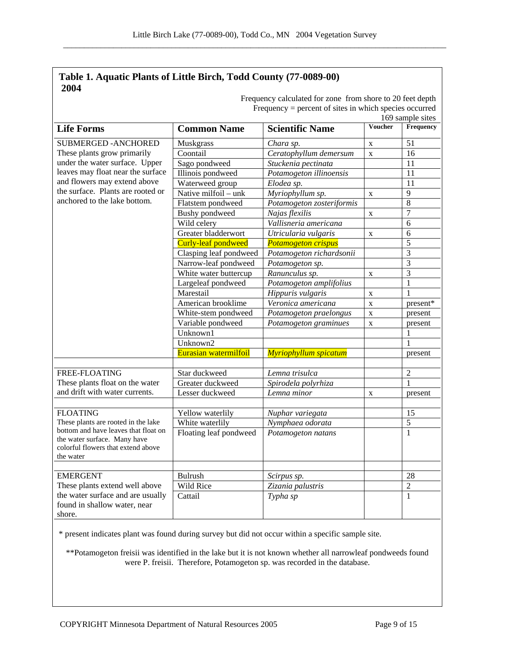#### **Table 1. Aquatic Plants of Little Birch, Todd County (77-0089-00) 2004**

|                                                                                                                                                                          |                        |                              |             | 169 sample sites |  |
|--------------------------------------------------------------------------------------------------------------------------------------------------------------------------|------------------------|------------------------------|-------------|------------------|--|
| <b>Life Forms</b>                                                                                                                                                        | <b>Common Name</b>     | <b>Scientific Name</b>       | Voucher     | Frequency        |  |
| <b>SUBMERGED - ANCHORED</b>                                                                                                                                              | Muskgrass              | Chara sp.                    | $\mathbf X$ | 51               |  |
| These plants grow primarily                                                                                                                                              | Coontail               | Ceratophyllum demersum       | $\mathbf X$ | 16               |  |
| under the water surface. Upper<br>leaves may float near the surface<br>and flowers may extend above<br>the surface. Plants are rooted or<br>anchored to the lake bottom. | Sago pondweed          | Stuckenia pectinata          |             | 11               |  |
|                                                                                                                                                                          | Illinois pondweed      | Potamogeton illinoensis      |             | 11               |  |
|                                                                                                                                                                          | Waterweed group        | Elodea sp.                   |             | 11               |  |
|                                                                                                                                                                          | Native milfoil - unk   | Myriophyllum sp.             | $\mathbf X$ | 9                |  |
|                                                                                                                                                                          | Flatstem pondweed      | Potamogeton zosteriformis    |             | $\overline{8}$   |  |
|                                                                                                                                                                          | <b>Bushy</b> pondweed  | Najas flexilis               | $\mathbf X$ | $\overline{7}$   |  |
|                                                                                                                                                                          | Wild celery            | Vallisneria americana        |             | 6                |  |
|                                                                                                                                                                          | Greater bladderwort    | Utricularia vulgaris         | $\mathbf X$ | 6                |  |
|                                                                                                                                                                          | Curly-leaf pondweed    | <b>Potamogeton crispus</b>   |             | 5                |  |
|                                                                                                                                                                          | Clasping leaf pondweed | Potamogeton richardsonii     |             | $\overline{3}$   |  |
|                                                                                                                                                                          | Narrow-leaf pondweed   | Potamogeton sp.              |             | $\overline{3}$   |  |
|                                                                                                                                                                          | White water buttercup  | Ranunculus sp.               | $\mathbf X$ | $\overline{3}$   |  |
|                                                                                                                                                                          | Largeleaf pondweed     | Potamogeton amplifolius      |             | $\mathbf{1}$     |  |
|                                                                                                                                                                          | Marestail              | Hippuris vulgaris            | $\mathbf X$ | 1                |  |
|                                                                                                                                                                          | American brooklime     | Veronica americana           | $\mathbf X$ | present*         |  |
|                                                                                                                                                                          | White-stem pondweed    | Potamogeton praelongus       | $\mathbf X$ | present          |  |
|                                                                                                                                                                          | Variable pondweed      | Potamogeton graminues        | $\mathbf X$ | present          |  |
|                                                                                                                                                                          | Unknown1               |                              |             | 1                |  |
|                                                                                                                                                                          | Unknown2               |                              |             | 1                |  |
|                                                                                                                                                                          | Eurasian watermilfoil  | <b>Myriophyllum spicatum</b> |             | present          |  |
|                                                                                                                                                                          |                        |                              |             |                  |  |
| FREE-FLOATING                                                                                                                                                            | Star duckweed          | Lemna trisulca               |             | $\overline{2}$   |  |
| These plants float on the water                                                                                                                                          | Greater duckweed       | Spirodela polyrhiza          |             | $\mathbf{1}$     |  |
| and drift with water currents.                                                                                                                                           | Lesser duckweed        | Lemna minor                  | $\mathbf X$ | present          |  |
|                                                                                                                                                                          |                        |                              |             |                  |  |
| <b>FLOATING</b><br>These plants are rooted in the lake<br>bottom and have leaves that float on                                                                           | Yellow waterlily       | Nuphar variegata             |             | 15               |  |
|                                                                                                                                                                          | White waterlily        | Nymphaea odorata             |             | $\sqrt{5}$       |  |
| the water surface. Many have                                                                                                                                             | Floating leaf pondweed | Potamogeton natans           |             | $\mathbf{1}$     |  |
| colorful flowers that extend above                                                                                                                                       |                        |                              |             |                  |  |
| the water                                                                                                                                                                |                        |                              |             |                  |  |
|                                                                                                                                                                          |                        |                              |             |                  |  |
| <b>EMERGENT</b>                                                                                                                                                          | <b>Bulrush</b>         | Scirpus sp.                  |             | 28               |  |
| These plants extend well above                                                                                                                                           | Wild Rice              | Zizania palustris            |             | $\overline{2}$   |  |
| the water surface and are usually                                                                                                                                        | Cattail                | Typha sp                     |             | $\mathbf{1}$     |  |
| found in shallow water, near                                                                                                                                             |                        |                              |             |                  |  |
| shore.                                                                                                                                                                   |                        |                              |             |                  |  |

Frequency calculated for zone from shore to 20 feet depth Frequency  $=$  percent of sites in which species occurred

\* present indicates plant was found during survey but did not occur within a specific sample site.

\*\*Potamogeton freisii was identified in the lake but it is not known whether all narrowleaf pondweeds found were P. freisii. Therefore, Potamogeton sp. was recorded in the database.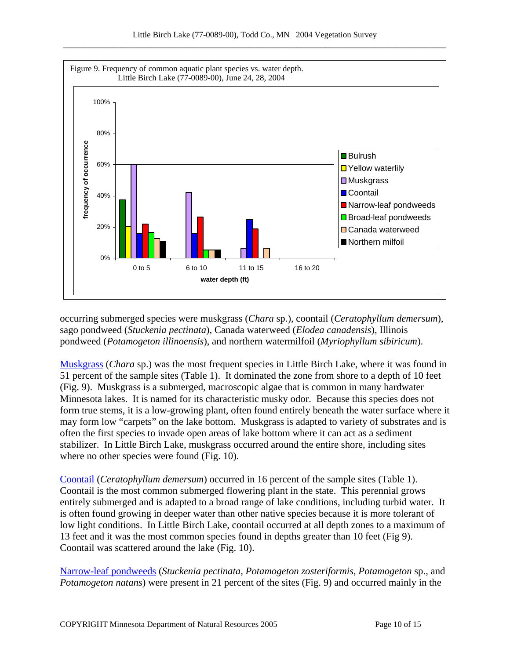

occurring submerged species were muskgrass (*Chara* sp.), coontail (*Ceratophyllum demersum*), sago pondweed (*Stuckenia pectinata*), Canada waterweed (*Elodea canadensis*), Illinois pondweed (*Potamogeton illinoensis*), and northern watermilfoil (*Myriophyllum sibiricum*).

[Muskgrass](http://www.dnr.state.mn.us/aquatic_plants/algae/chara.html) (*Chara* sp.) was the most frequent species in Little Birch Lake, where it was found in 51 percent of the sample sites (Table 1). It dominated the zone from shore to a depth of 10 feet (Fig. 9). Muskgrass is a submerged, macroscopic algae that is common in many hardwater Minnesota lakes. It is named for its characteristic musky odor. Because this species does not form true stems, it is a low-growing plant, often found entirely beneath the water surface where it may form low "carpets" on the lake bottom. Muskgrass is adapted to variety of substrates and is often the first species to invade open areas of lake bottom where it can act as a sediment stabilizer. In Little Birch Lake, muskgrass occurred around the entire shore, including sites where no other species were found (Fig. 10).

[Coontail](http://www.dnr.state.mn.us/aquatic_plants/submerged_plants/coontail.html) (*Ceratophyllum demersum*) occurred in 16 percent of the sample sites (Table 1). Coontail is the most common submerged flowering plant in the state. This perennial grows entirely submerged and is adapted to a broad range of lake conditions, including turbid water. It is often found growing in deeper water than other native species because it is more tolerant of low light conditions. In Little Birch Lake, coontail occurred at all depth zones to a maximum of 13 feet and it was the most common species found in depths greater than 10 feet (Fig 9). Coontail was scattered around the lake (Fig. 10).

[Narrow-leaf pondweeds](http://www.dnr.state.mn.us/aquatic_plants/submerged_plants/narrowleaf_pondweeds.html) (*Stuckenia pectinata, Potamogeton zosteriformis, Potamogeton* sp., and *Potamogeton natans*) were present in 21 percent of the sites (Fig. 9) and occurred mainly in the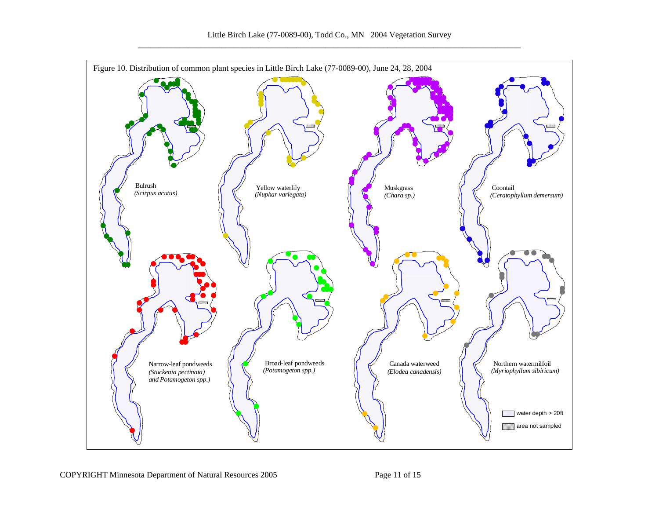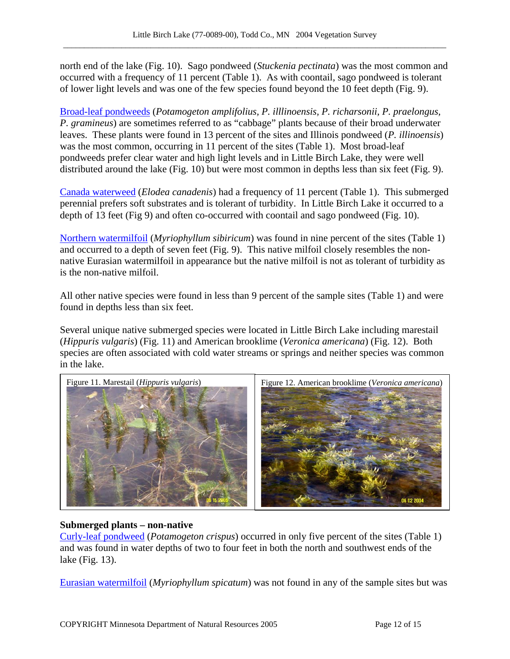north end of the lake (Fig. 10). Sago pondweed (*Stuckenia pectinata*) was the most common and occurred with a frequency of 11 percent (Table 1). As with coontail, sago pondweed is tolerant of lower light levels and was one of the few species found beyond the 10 feet depth (Fig. 9).

[Broad-leaf pondweeds](http://www.dnr.state.mn.us/aquatic_plants/submerged_plants/broadleaf_pondweeds.html) (*Potamogeton amplifolius, P. illlinoensis, P. richarsonii, P. praelongus, P. gramineus*) are sometimes referred to as "cabbage" plants because of their broad underwater leaves. These plants were found in 13 percent of the sites and Illinois pondweed (*P. illinoensis*) was the most common, occurring in 11 percent of the sites (Table 1). Most broad-leaf pondweeds prefer clear water and high light levels and in Little Birch Lake, they were well distributed around the lake (Fig. 10) but were most common in depths less than six feet (Fig. 9).

[Canada waterweed](http://www.dnr.state.mn.us/aquatic_plants/submerged_plants/canada_waterweed.html) (*Elodea canadenis*) had a frequency of 11 percent (Table 1). This submerged perennial prefers soft substrates and is tolerant of turbidity. In Little Birch Lake it occurred to a depth of 13 feet (Fig 9) and often co-occurred with coontail and sago pondweed (Fig. 10).

[Northern watermilfoil](http://www.dnr.state.mn.us/aquatic_plants/submerged_plants/northern_watermilfoil.html) (*Myriophyllum sibiricum*) was found in nine percent of the sites (Table 1) and occurred to a depth of seven feet (Fig. 9). This native milfoil closely resembles the nonnative Eurasian watermilfoil in appearance but the native milfoil is not as tolerant of turbidity as is the non-native milfoil.

All other native species were found in less than 9 percent of the sample sites (Table 1) and were found in depths less than six feet.

Several unique native submerged species were located in Little Birch Lake including marestail (*Hippuris vulgaris*) (Fig. 11) and American brooklime (*Veronica americana*) (Fig. 12). Both species are often associated with cold water streams or springs and neither species was common in the lake.



## **Submerged plants – non-native**

[Curly-leaf pondweed](http://www.dnr.state.mn.us/aquatic_plants/submerged_plants/curlyleaf_pondweed.html) (*Potamogeton crispus*) occurred in only five percent of the sites (Table 1) and was found in water depths of two to four feet in both the north and southwest ends of the lake (Fig. 13).

[Eurasian watermilfoil](http://www.dnr.state.mn.us/invasives/aquaticplants/milfoil/index.html) (*Myriophyllum spicatum*) was not found in any of the sample sites but was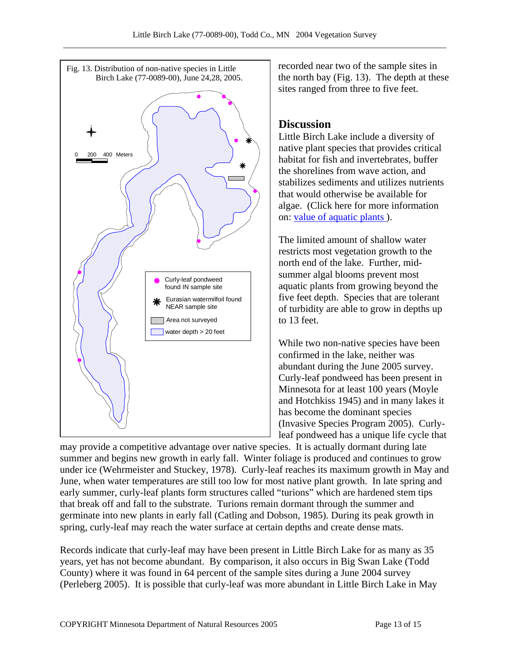

recorded near two of the sample sites in the north bay (Fig. 13). The depth at these sites ranged from three to five feet.

# **Discussion**

Little Birch Lake include a diversity of native plant species that provides critical habitat for fish and invertebrates, buffer the shorelines from wave action, and stabilizes sediments and utilizes nutrients that would otherwise be available for algae. (Click here for more information on: [value of aquatic plants](http://www.dnr.state.mn.us/shorelandmgmt/apg/value.html) ).

The limited amount of shallow water restricts most vegetation growth to the north end of the lake. Further, midsummer algal blooms prevent most aquatic plants from growing beyond the five feet depth. Species that are tolerant of turbidity are able to grow in depths up to 13 feet.

While two non-native species have been confirmed in the lake, neither was abundant during the June 2005 survey. Curly-leaf pondweed has been present in Minnesota for at least 100 years (Moyle and Hotchkiss 1945) and in many lakes it has become the dominant species (Invasive Species Program 2005). Curlyleaf pondweed has a unique life cycle that

may provide a competitive advantage over native species. It is actually dormant during late summer and begins new growth in early fall. Winter foliage is produced and continues to grow under ice (Wehrmeister and Stuckey, 1978). Curly-leaf reaches its maximum growth in May and June, when water temperatures are still too low for most native plant growth. In late spring and early summer, curly-leaf plants form structures called "turions" which are hardened stem tips that break off and fall to the substrate. Turions remain dormant through the summer and germinate into new plants in early fall (Catling and Dobson, 1985). During its peak growth in spring, curly-leaf may reach the water surface at certain depths and create dense mats.

Records indicate that curly-leaf may have been present in Little Birch Lake for as many as 35 years, yet has not become abundant. By comparison, it also occurs in Big Swan Lake (Todd County) where it was found in 64 percent of the sample sites during a June 2004 survey (Perleberg 2005). It is possible that curly-leaf was more abundant in Little Birch Lake in May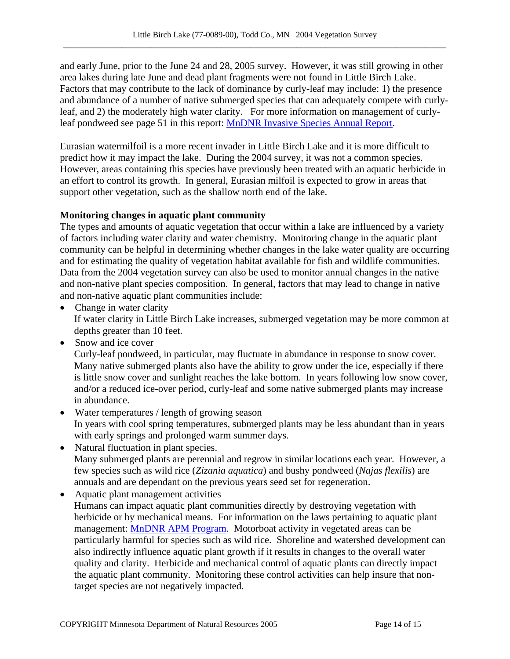and early June, prior to the June 24 and 28, 2005 survey. However, it was still growing in other area lakes during late June and dead plant fragments were not found in Little Birch Lake. Factors that may contribute to the lack of dominance by curly-leaf may include: 1) the presence and abundance of a number of native submerged species that can adequately compete with curlyleaf, and 2) the moderately high water clarity. For more information on management of curlyleaf pondweed see page 51 in this report: [MnDNR Invasive Species Annual Report](http://files.dnr.state.mn.us/ecological_services/invasives/annualreport.pdf).

Eurasian watermilfoil is a more recent invader in Little Birch Lake and it is more difficult to predict how it may impact the lake. During the 2004 survey, it was not a common species. However, areas containing this species have previously been treated with an aquatic herbicide in an effort to control its growth. In general, Eurasian milfoil is expected to grow in areas that support other vegetation, such as the shallow north end of the lake.

## **Monitoring changes in aquatic plant community**

The types and amounts of aquatic vegetation that occur within a lake are influenced by a variety of factors including water clarity and water chemistry. Monitoring change in the aquatic plant community can be helpful in determining whether changes in the lake water quality are occurring and for estimating the quality of vegetation habitat available for fish and wildlife communities. Data from the 2004 vegetation survey can also be used to monitor annual changes in the native and non-native plant species composition. In general, factors that may lead to change in native and non-native aquatic plant communities include:

- Change in water clarity If water clarity in Little Birch Lake increases, submerged vegetation may be more common at depths greater than 10 feet.
- Snow and ice cover

Curly-leaf pondweed, in particular, may fluctuate in abundance in response to snow cover. Many native submerged plants also have the ability to grow under the ice, especially if there is little snow cover and sunlight reaches the lake bottom. In years following low snow cover, and/or a reduced ice-over period, curly-leaf and some native submerged plants may increase in abundance.

- Water temperatures / length of growing season In years with cool spring temperatures, submerged plants may be less abundant than in years with early springs and prolonged warm summer days.
- Natural fluctuation in plant species. Many submerged plants are perennial and regrow in similar locations each year. However, a few species such as wild rice (*Zizania aquatica*) and bushy pondweed (*Najas flexilis*) are annuals and are dependant on the previous years seed set for regeneration.
- Aquatic plant management activities Humans can impact aquatic plant communities directly by destroying vegetation with herbicide or by mechanical means. For information on the laws pertaining to aquatic plant management: [MnDNR APM Program.](http://www.dnr.state.mn.us/ecological_services/apm/index.html) Motorboat activity in vegetated areas can be particularly harmful for species such as wild rice. Shoreline and watershed development can also indirectly influence aquatic plant growth if it results in changes to the overall water quality and clarity. Herbicide and mechanical control of aquatic plants can directly impact the aquatic plant community. Monitoring these control activities can help insure that nontarget species are not negatively impacted.